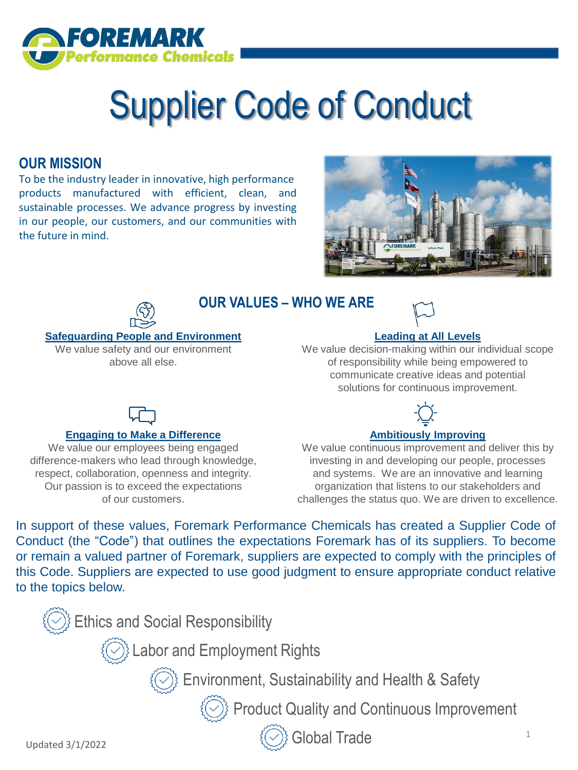

# Supplier Code of Conduct

# **OUR MISSION**

To be the industry leader in innovative, high performance products manufactured with efficient, clean, and sustainable processes. We advance progress by investing in our people, our customers, and our communities with the future in mind.





# **OUR VALUES – WHO WE ARE**



### **Safeguarding People and Environment**

We value safety and our environment above all else.

**Engaging to Make a Difference** We value our employees being engaged difference-makers who lead through knowledge, respect, collaboration, openness and integrity. Our passion is to exceed the expectations of our customers.

### **Leading at All Levels**

We value decision-making within our individual scope of responsibility while being empowered to communicate creative ideas and potential solutions for continuous improvement.



### **Ambitiously Improving**

We value continuous improvement and deliver this by investing in and developing our people, processes and systems. We are an innovative and learning organization that listens to our stakeholders and challenges the status quo. We are driven to excellence.

In support of these values, Foremark Performance Chemicals has created a Supplier Code of Conduct (the "Code") that outlines the expectations Foremark has of its suppliers. To become or remain a valued partner of Foremark, suppliers are expected to comply with the principles of this Code. Suppliers are expected to use good judgment to ensure appropriate conduct relative to the topics below.

 $\mathbb{Z}_2^3$  Ethics and Social Responsibility *(O)* Labor and Employment Rights **Environment, Sustainability and Health & Safety** *(O)* Product Quality and Continuous Improvement

Updated 3/1/2022

Global Trade 1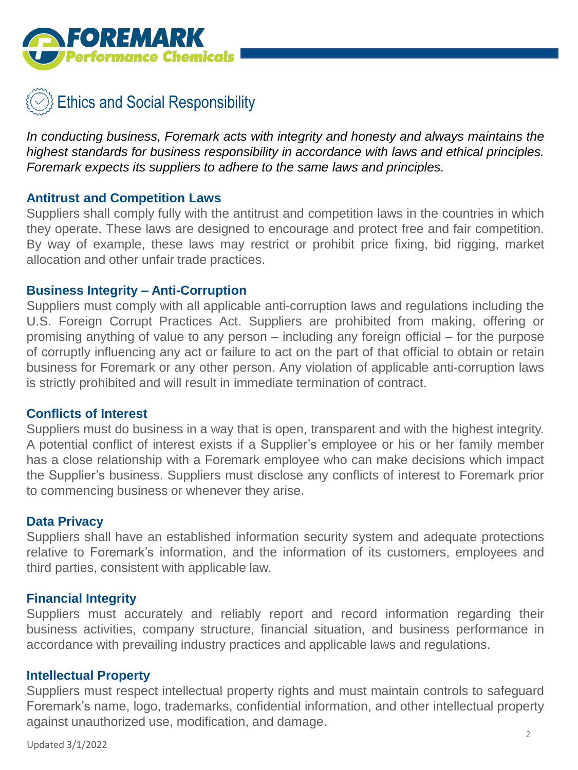



*In conducting business, Foremark acts with integrity and honesty and always maintains the highest standards for business responsibility in accordance with laws and ethical principles. Foremark expects its suppliers to adhere to the same laws and principles.*

## **Antitrust and Competition Laws**

Suppliers shall comply fully with the antitrust and competition laws in the countries in which they operate. These laws are designed to encourage and protect free and fair competition. By way of example, these laws may restrict or prohibit price fixing, bid rigging, market allocation and other unfair trade practices.

### **Business Integrity – Anti-Corruption**

Suppliers must comply with all applicable anti-corruption laws and regulations including the U.S. Foreign Corrupt Practices Act. Suppliers are prohibited from making, offering or promising anything of value to any person – including any foreign official – for the purpose of corruptly influencing any act or failure to act on the part of that official to obtain or retain business for Foremark or any other person. Any violation of applicable anti-corruption laws is strictly prohibited and will result in immediate termination of contract.

### **Conflicts of Interest**

Suppliers must do business in a way that is open, transparent and with the highest integrity. A potential conflict of interest exists if a Supplier's employee or his or her family member has a close relationship with a Foremark employee who can make decisions which impact the Supplier's business. Suppliers must disclose any conflicts of interest to Foremark prior to commencing business or whenever they arise.

### **Data Privacy**

Suppliers shall have an established information security system and adequate protections relative to Foremark's information, and the information of its customers, employees and third parties, consistent with applicable law.

### **Financial Integrity**

Suppliers must accurately and reliably report and record information regarding their business activities, company structure, financial situation, and business performance in accordance with prevailing industry practices and applicable laws and regulations.

### **Intellectual Property**

Suppliers must respect intellectual property rights and must maintain controls to safeguard Foremark's name, logo, trademarks, confidential information, and other intellectual property against unauthorized use, modification, and damage.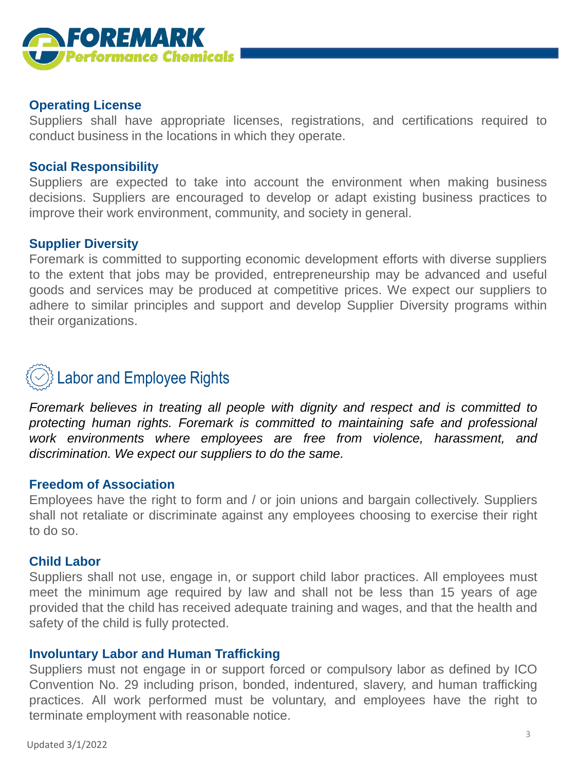

# **Operating License**

Suppliers shall have appropriate licenses, registrations, and certifications required to conduct business in the locations in which they operate.

# **Social Responsibility**

Suppliers are expected to take into account the environment when making business decisions. Suppliers are encouraged to develop or adapt existing business practices to improve their work environment, community, and society in general.

### **Supplier Diversity**

Foremark is committed to supporting economic development efforts with diverse suppliers to the extent that jobs may be provided, entrepreneurship may be advanced and useful goods and services may be produced at competitive prices. We expect our suppliers to adhere to similar principles and support and develop Supplier Diversity programs within their organizations.

# Labor and Employee Rights

*Foremark believes in treating all people with dignity and respect and is committed to protecting human rights. Foremark is committed to maintaining safe and professional work environments where employees are free from violence, harassment, and discrimination. We expect our suppliers to do the same.*

### **Freedom of Association**

Employees have the right to form and / or join unions and bargain collectively. Suppliers shall not retaliate or discriminate against any employees choosing to exercise their right to do so.

### **Child Labor**

Suppliers shall not use, engage in, or support child labor practices. All employees must meet the minimum age required by law and shall not be less than 15 years of age provided that the child has received adequate training and wages, and that the health and safety of the child is fully protected.

### **Involuntary Labor and Human Trafficking**

Suppliers must not engage in or support forced or compulsory labor as defined by ICO Convention No. 29 including prison, bonded, indentured, slavery, and human trafficking practices. All work performed must be voluntary, and employees have the right to terminate employment with reasonable notice.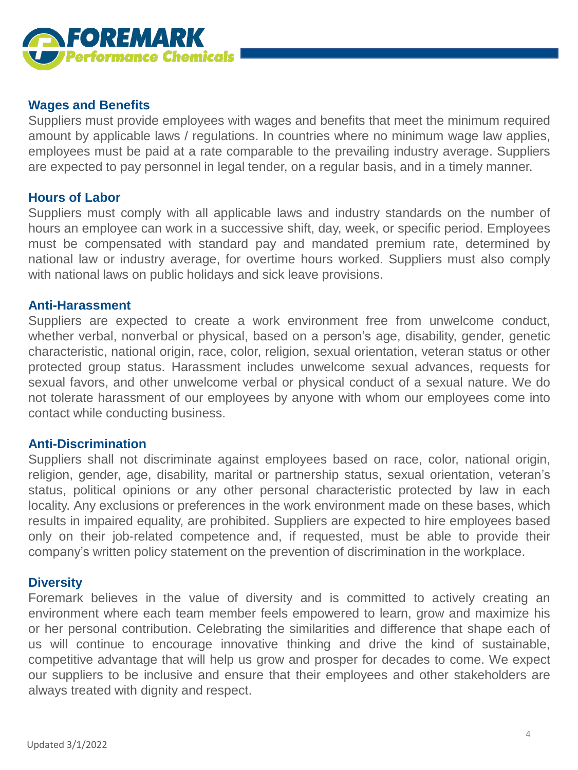

## **Wages and Benefits**

Suppliers must provide employees with wages and benefits that meet the minimum required amount by applicable laws / regulations. In countries where no minimum wage law applies, employees must be paid at a rate comparable to the prevailing industry average. Suppliers are expected to pay personnel in legal tender, on a regular basis, and in a timely manner.

### **Hours of Labor**

Suppliers must comply with all applicable laws and industry standards on the number of hours an employee can work in a successive shift, day, week, or specific period. Employees must be compensated with standard pay and mandated premium rate, determined by national law or industry average, for overtime hours worked. Suppliers must also comply with national laws on public holidays and sick leave provisions.

### **Anti-Harassment**

Suppliers are expected to create a work environment free from unwelcome conduct, whether verbal, nonverbal or physical, based on a person's age, disability, gender, genetic characteristic, national origin, race, color, religion, sexual orientation, veteran status or other protected group status. Harassment includes unwelcome sexual advances, requests for sexual favors, and other unwelcome verbal or physical conduct of a sexual nature. We do not tolerate harassment of our employees by anyone with whom our employees come into contact while conducting business.

### **Anti-Discrimination**

Suppliers shall not discriminate against employees based on race, color, national origin, religion, gender, age, disability, marital or partnership status, sexual orientation, veteran's status, political opinions or any other personal characteristic protected by law in each locality. Any exclusions or preferences in the work environment made on these bases, which results in impaired equality, are prohibited. Suppliers are expected to hire employees based only on their job-related competence and, if requested, must be able to provide their company's written policy statement on the prevention of discrimination in the workplace.

### **Diversity**

Foremark believes in the value of diversity and is committed to actively creating an environment where each team member feels empowered to learn, grow and maximize his or her personal contribution. Celebrating the similarities and difference that shape each of us will continue to encourage innovative thinking and drive the kind of sustainable, competitive advantage that will help us grow and prosper for decades to come. We expect our suppliers to be inclusive and ensure that their employees and other stakeholders are always treated with dignity and respect.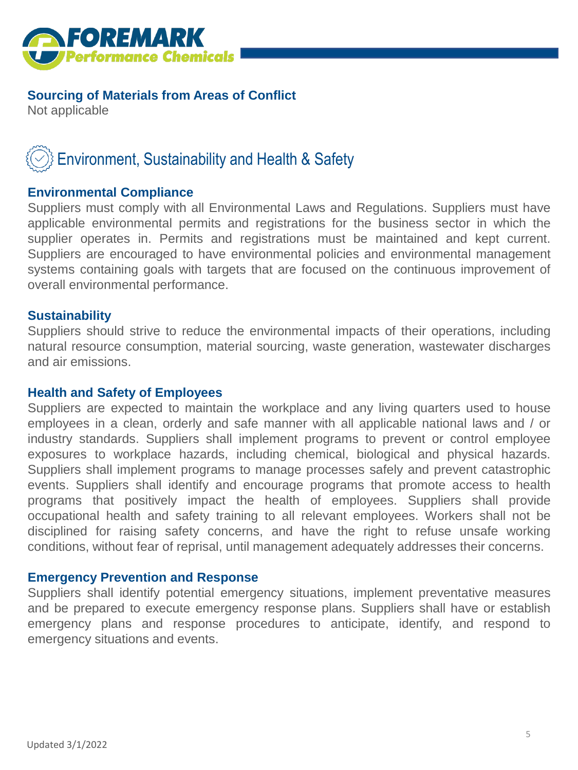

# **Sourcing of Materials from Areas of Conflict**

Not applicable

# Environment, Sustainability and Health & Safety

# **Environmental Compliance**

Suppliers must comply with all Environmental Laws and Regulations. Suppliers must have applicable environmental permits and registrations for the business sector in which the supplier operates in. Permits and registrations must be maintained and kept current. Suppliers are encouraged to have environmental policies and environmental management systems containing goals with targets that are focused on the continuous improvement of overall environmental performance.

# **Sustainability**

Suppliers should strive to reduce the environmental impacts of their operations, including natural resource consumption, material sourcing, waste generation, wastewater discharges and air emissions.

# **Health and Safety of Employees**

Suppliers are expected to maintain the workplace and any living quarters used to house employees in a clean, orderly and safe manner with all applicable national laws and / or industry standards. Suppliers shall implement programs to prevent or control employee exposures to workplace hazards, including chemical, biological and physical hazards. Suppliers shall implement programs to manage processes safely and prevent catastrophic events. Suppliers shall identify and encourage programs that promote access to health programs that positively impact the health of employees. Suppliers shall provide occupational health and safety training to all relevant employees. Workers shall not be disciplined for raising safety concerns, and have the right to refuse unsafe working conditions, without fear of reprisal, until management adequately addresses their concerns.

### **Emergency Prevention and Response**

Suppliers shall identify potential emergency situations, implement preventative measures and be prepared to execute emergency response plans. Suppliers shall have or establish emergency plans and response procedures to anticipate, identify, and respond to emergency situations and events.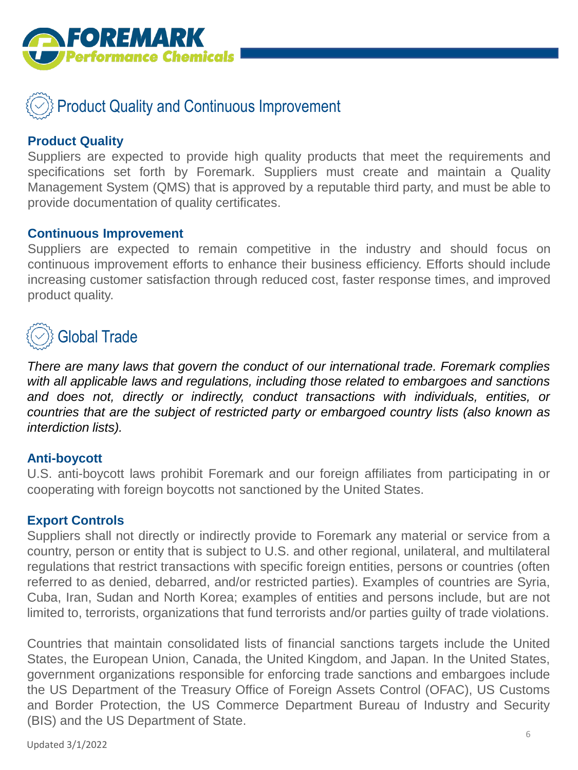

# Product Quality and Continuous Improvement

# **Product Quality**

Suppliers are expected to provide high quality products that meet the requirements and specifications set forth by Foremark. Suppliers must create and maintain a Quality Management System (QMS) that is approved by a reputable third party, and must be able to provide documentation of quality certificates.

### **Continuous Improvement**

Suppliers are expected to remain competitive in the industry and should focus on continuous improvement efforts to enhance their business efficiency. Efforts should include increasing customer satisfaction through reduced cost, faster response times, and improved product quality.

# Global Trade

*There are many laws that govern the conduct of our international trade. Foremark complies with all applicable laws and regulations, including those related to embargoes and sanctions and does not, directly or indirectly, conduct transactions with individuals, entities, or countries that are the subject of restricted party or embargoed country lists (also known as interdiction lists).*

# **Anti-boycott**

U.S. anti-boycott laws prohibit Foremark and our foreign affiliates from participating in or cooperating with foreign boycotts not sanctioned by the United States.

# **Export Controls**

Suppliers shall not directly or indirectly provide to Foremark any material or service from a country, person or entity that is subject to U.S. and other regional, unilateral, and multilateral regulations that restrict transactions with specific foreign entities, persons or countries (often referred to as denied, debarred, and/or restricted parties). Examples of countries are Syria, Cuba, Iran, Sudan and North Korea; examples of entities and persons include, but are not limited to, terrorists, organizations that fund terrorists and/or parties guilty of trade violations.

Countries that maintain consolidated lists of financial sanctions targets include the United States, the European Union, Canada, the United Kingdom, and Japan. In the United States, government organizations responsible for enforcing trade sanctions and embargoes include the US Department of the Treasury Office of Foreign Assets Control (OFAC), US Customs and Border Protection, the US Commerce Department Bureau of Industry and Security (BIS) and the US Department of State.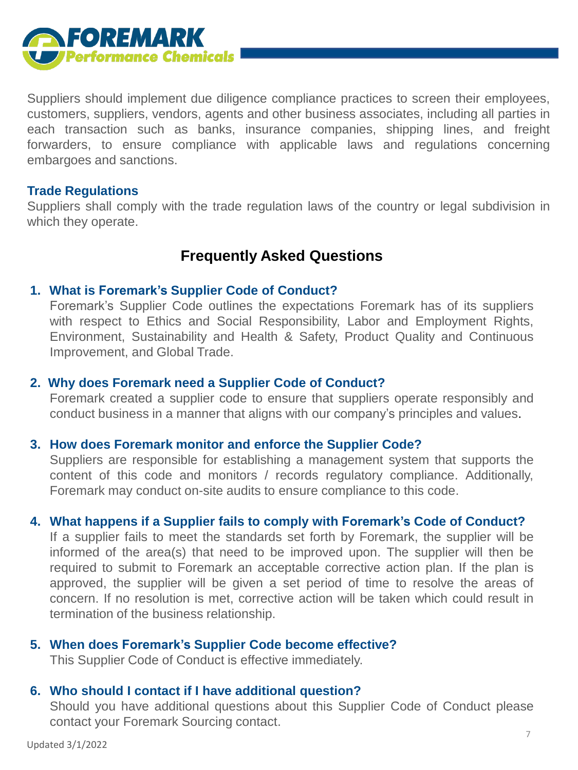

Suppliers should implement due diligence compliance practices to screen their employees, customers, suppliers, vendors, agents and other business associates, including all parties in each transaction such as banks, insurance companies, shipping lines, and freight forwarders, to ensure compliance with applicable laws and regulations concerning embargoes and sanctions.

### **Trade Regulations**

Suppliers shall comply with the trade regulation laws of the country or legal subdivision in which they operate.

# **Frequently Asked Questions**

### **1. What is Foremark's Supplier Code of Conduct?**

Foremark's Supplier Code outlines the expectations Foremark has of its suppliers with respect to Ethics and Social Responsibility, Labor and Employment Rights, Environment, Sustainability and Health & Safety, Product Quality and Continuous Improvement, and Global Trade.

### **2. Why does Foremark need a Supplier Code of Conduct?**

Foremark created a supplier code to ensure that suppliers operate responsibly and conduct business in a manner that aligns with our company's principles and values.

### **3. How does Foremark monitor and enforce the Supplier Code?**

Suppliers are responsible for establishing a management system that supports the content of this code and monitors / records regulatory compliance. Additionally, Foremark may conduct on-site audits to ensure compliance to this code.

### **4. What happens if a Supplier fails to comply with Foremark's Code of Conduct?**

If a supplier fails to meet the standards set forth by Foremark, the supplier will be informed of the area(s) that need to be improved upon. The supplier will then be required to submit to Foremark an acceptable corrective action plan. If the plan is approved, the supplier will be given a set period of time to resolve the areas of concern. If no resolution is met, corrective action will be taken which could result in termination of the business relationship.

### **5. When does Foremark's Supplier Code become effective?**

This Supplier Code of Conduct is effective immediately.

### **6. Who should I contact if I have additional question?**

Should you have additional questions about this Supplier Code of Conduct please contact your Foremark Sourcing contact.